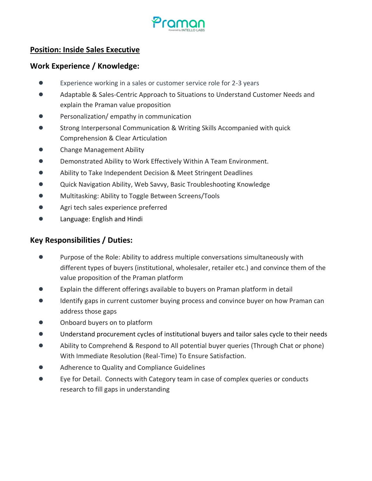

## **Position: Inside Sales Executive**

#### **Work Experience / Knowledge:**

- Experience working in a sales or customer service role for 2-3 years
- Adaptable & Sales-Centric Approach to Situations to Understand Customer Needs and explain the Praman value proposition
- Personalization/ empathy in communication
- Strong Interpersonal Communication & Writing Skills Accompanied with quick Comprehension & Clear Articulation
- Change Management Ability
- Demonstrated Ability to Work Effectively Within A Team Environment.
- Ability to Take Independent Decision & Meet Stringent Deadlines
- Quick Navigation Ability, Web Savvy, Basic Troubleshooting Knowledge
- Multitasking: Ability to Toggle Between Screens/Tools
- Agri tech sales experience preferred
- Language: English and Hindi

## **Key Responsibilities / Duties:**

- Purpose of the Role: Ability to address multiple conversations simultaneously with different types of buyers (institutional, wholesaler, retailer etc.) and convince them of the value proposition of the Praman platform
- Explain the different offerings available to buyers on Praman platform in detail
- Identify gaps in current customer buying process and convince buyer on how Praman can address those gaps
- Onboard buyers on to platform
- Understand procurement cycles of institutional buyers and tailor sales cycle to their needs
- Ability to Comprehend & Respond to All potential buyer queries (Through Chat or phone) With Immediate Resolution (Real-Time) To Ensure Satisfaction.
- Adherence to Quality and Compliance Guidelines
- Eye for Detail. Connects with Category team in case of complex queries or conducts research to fill gaps in understanding